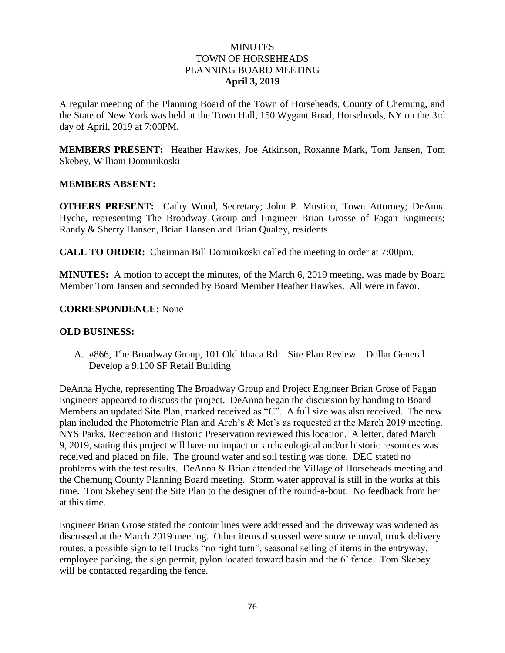### MINUTES TOWN OF HORSEHEADS PLANNING BOARD MEETING **April 3, 2019**

A regular meeting of the Planning Board of the Town of Horseheads, County of Chemung, and the State of New York was held at the Town Hall, 150 Wygant Road, Horseheads, NY on the 3rd day of April, 2019 at 7:00PM.

**MEMBERS PRESENT:** Heather Hawkes, Joe Atkinson, Roxanne Mark, Tom Jansen, Tom Skebey, William Dominikoski

### **MEMBERS ABSENT:**

**OTHERS PRESENT:** Cathy Wood, Secretary; John P. Mustico, Town Attorney; DeAnna Hyche, representing The Broadway Group and Engineer Brian Grosse of Fagan Engineers; Randy & Sherry Hansen, Brian Hansen and Brian Qualey, residents

**CALL TO ORDER:** Chairman Bill Dominikoski called the meeting to order at 7:00pm.

**MINUTES:** A motion to accept the minutes, of the March 6, 2019 meeting, was made by Board Member Tom Jansen and seconded by Board Member Heather Hawkes. All were in favor.

### **CORRESPONDENCE:** None

#### **OLD BUSINESS:**

A. #866, The Broadway Group, 101 Old Ithaca Rd – Site Plan Review – Dollar General – Develop a 9,100 SF Retail Building

DeAnna Hyche, representing The Broadway Group and Project Engineer Brian Grose of Fagan Engineers appeared to discuss the project. DeAnna began the discussion by handing to Board Members an updated Site Plan, marked received as "C". A full size was also received. The new plan included the Photometric Plan and Arch's & Met's as requested at the March 2019 meeting. NYS Parks, Recreation and Historic Preservation reviewed this location. A letter, dated March 9, 2019, stating this project will have no impact on archaeological and/or historic resources was received and placed on file. The ground water and soil testing was done. DEC stated no problems with the test results. DeAnna & Brian attended the Village of Horseheads meeting and the Chemung County Planning Board meeting. Storm water approval is still in the works at this time. Tom Skebey sent the Site Plan to the designer of the round-a-bout. No feedback from her at this time.

Engineer Brian Grose stated the contour lines were addressed and the driveway was widened as discussed at the March 2019 meeting. Other items discussed were snow removal, truck delivery routes, a possible sign to tell trucks "no right turn", seasonal selling of items in the entryway, employee parking, the sign permit, pylon located toward basin and the 6' fence. Tom Skebey will be contacted regarding the fence.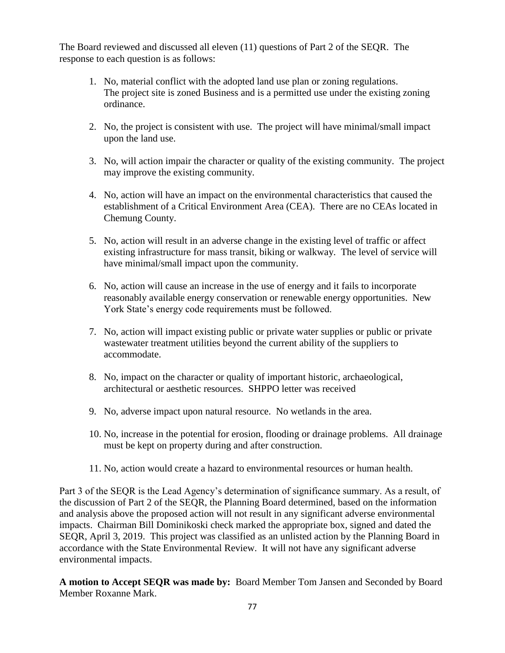The Board reviewed and discussed all eleven (11) questions of Part 2 of the SEQR. The response to each question is as follows:

- 1. No, material conflict with the adopted land use plan or zoning regulations. The project site is zoned Business and is a permitted use under the existing zoning ordinance.
- 2. No, the project is consistent with use. The project will have minimal/small impact upon the land use.
- 3. No, will action impair the character or quality of the existing community. The project may improve the existing community.
- 4. No, action will have an impact on the environmental characteristics that caused the establishment of a Critical Environment Area (CEA). There are no CEAs located in Chemung County.
- 5. No, action will result in an adverse change in the existing level of traffic or affect existing infrastructure for mass transit, biking or walkway. The level of service will have minimal/small impact upon the community.
- 6. No, action will cause an increase in the use of energy and it fails to incorporate reasonably available energy conservation or renewable energy opportunities. New York State's energy code requirements must be followed.
- 7. No, action will impact existing public or private water supplies or public or private wastewater treatment utilities beyond the current ability of the suppliers to accommodate.
- 8. No, impact on the character or quality of important historic, archaeological, architectural or aesthetic resources. SHPPO letter was received
- 9. No, adverse impact upon natural resource. No wetlands in the area.
- 10. No, increase in the potential for erosion, flooding or drainage problems. All drainage must be kept on property during and after construction.
- 11. No, action would create a hazard to environmental resources or human health.

Part 3 of the SEQR is the Lead Agency's determination of significance summary. As a result, of the discussion of Part 2 of the SEQR, the Planning Board determined, based on the information and analysis above the proposed action will not result in any significant adverse environmental impacts. Chairman Bill Dominikoski check marked the appropriate box, signed and dated the SEQR, April 3, 2019. This project was classified as an unlisted action by the Planning Board in accordance with the State Environmental Review. It will not have any significant adverse environmental impacts.

**A motion to Accept SEQR was made by:** Board Member Tom Jansen and Seconded by Board Member Roxanne Mark.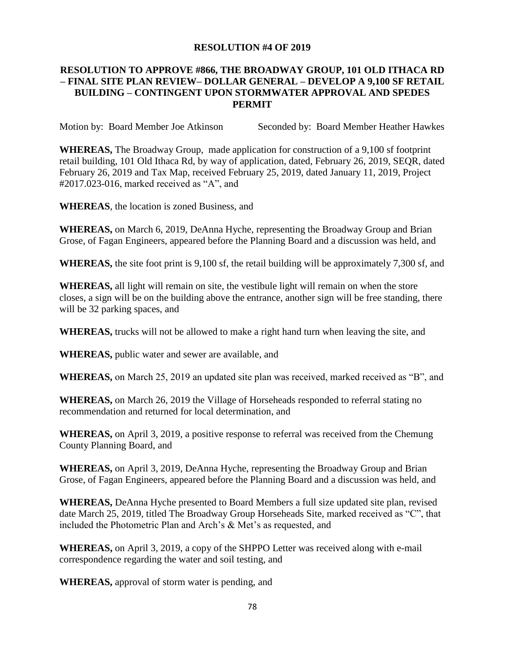#### **RESOLUTION #4 OF 2019**

# **RESOLUTION TO APPROVE #866, THE BROADWAY GROUP, 101 OLD ITHACA RD – FINAL SITE PLAN REVIEW– DOLLAR GENERAL – DEVELOP A 9,100 SF RETAIL BUILDING – CONTINGENT UPON STORMWATER APPROVAL AND SPEDES PERMIT**

Motion by: Board Member Joe Atkinson Seconded by: Board Member Heather Hawkes

**WHEREAS,** The Broadway Group, made application for construction of a 9,100 sf footprint retail building, 101 Old Ithaca Rd, by way of application, dated, February 26, 2019, SEQR, dated February 26, 2019 and Tax Map, received February 25, 2019, dated January 11, 2019, Project #2017.023-016, marked received as "A", and

**WHEREAS**, the location is zoned Business, and

**WHEREAS,** on March 6, 2019, DeAnna Hyche, representing the Broadway Group and Brian Grose, of Fagan Engineers, appeared before the Planning Board and a discussion was held, and

**WHEREAS,** the site foot print is 9,100 sf, the retail building will be approximately 7,300 sf, and

**WHEREAS,** all light will remain on site, the vestibule light will remain on when the store closes, a sign will be on the building above the entrance, another sign will be free standing, there will be 32 parking spaces, and

**WHEREAS,** trucks will not be allowed to make a right hand turn when leaving the site, and

**WHEREAS,** public water and sewer are available, and

**WHEREAS,** on March 25, 2019 an updated site plan was received, marked received as "B", and

**WHEREAS,** on March 26, 2019 the Village of Horseheads responded to referral stating no recommendation and returned for local determination, and

**WHEREAS,** on April 3, 2019, a positive response to referral was received from the Chemung County Planning Board, and

**WHEREAS,** on April 3, 2019, DeAnna Hyche, representing the Broadway Group and Brian Grose, of Fagan Engineers, appeared before the Planning Board and a discussion was held, and

**WHEREAS,** DeAnna Hyche presented to Board Members a full size updated site plan, revised date March 25, 2019, titled The Broadway Group Horseheads Site, marked received as "C", that included the Photometric Plan and Arch's & Met's as requested, and

**WHEREAS,** on April 3, 2019, a copy of the SHPPO Letter was received along with e-mail correspondence regarding the water and soil testing, and

**WHEREAS,** approval of storm water is pending, and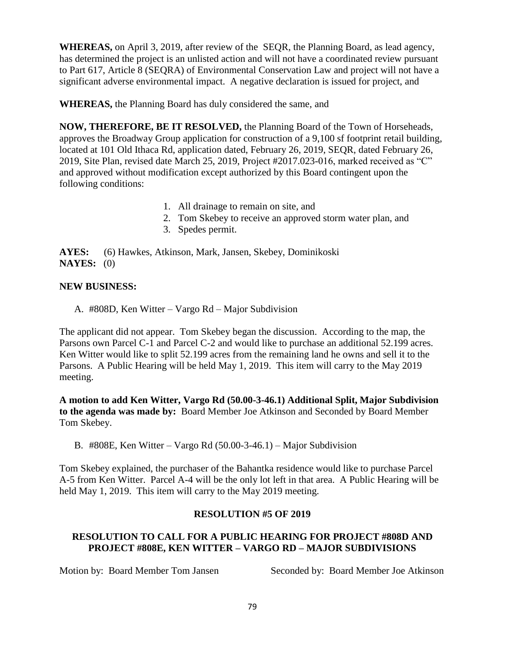**WHEREAS,** on April 3, 2019, after review of the SEQR, the Planning Board, as lead agency, has determined the project is an unlisted action and will not have a coordinated review pursuant to Part 617, Article 8 (SEQRA) of Environmental Conservation Law and project will not have a significant adverse environmental impact. A negative declaration is issued for project, and

**WHEREAS,** the Planning Board has duly considered the same, and

**NOW, THEREFORE, BE IT RESOLVED,** the Planning Board of the Town of Horseheads, approves the Broadway Group application for construction of a 9,100 sf footprint retail building, located at 101 Old Ithaca Rd, application dated, February 26, 2019, SEQR, dated February 26, 2019, Site Plan, revised date March 25, 2019, Project #2017.023-016, marked received as "C" and approved without modification except authorized by this Board contingent upon the following conditions:

- 1. All drainage to remain on site, and
- 2. Tom Skebey to receive an approved storm water plan, and
- 3. Spedes permit.

**AYES:** (6) Hawkes, Atkinson, Mark, Jansen, Skebey, Dominikoski **NAYES:** (0)

### **NEW BUSINESS:**

A. #808D, Ken Witter – Vargo Rd – Major Subdivision

The applicant did not appear. Tom Skebey began the discussion. According to the map, the Parsons own Parcel C-1 and Parcel C-2 and would like to purchase an additional 52.199 acres. Ken Witter would like to split 52.199 acres from the remaining land he owns and sell it to the Parsons. A Public Hearing will be held May 1, 2019. This item will carry to the May 2019 meeting.

**A motion to add Ken Witter, Vargo Rd (50.00-3-46.1) Additional Split, Major Subdivision to the agenda was made by:** Board Member Joe Atkinson and Seconded by Board Member Tom Skebey.

B. #808E, Ken Witter – Vargo Rd (50.00-3-46.1) – Major Subdivision

Tom Skebey explained, the purchaser of the Bahantka residence would like to purchase Parcel A-5 from Ken Witter. Parcel A-4 will be the only lot left in that area. A Public Hearing will be held May 1, 2019. This item will carry to the May 2019 meeting.

# **RESOLUTION #5 OF 2019**

# **RESOLUTION TO CALL FOR A PUBLIC HEARING FOR PROJECT #808D AND PROJECT #808E, KEN WITTER – VARGO RD – MAJOR SUBDIVISIONS**

Motion by: Board Member Tom Jansen Seconded by: Board Member Joe Atkinson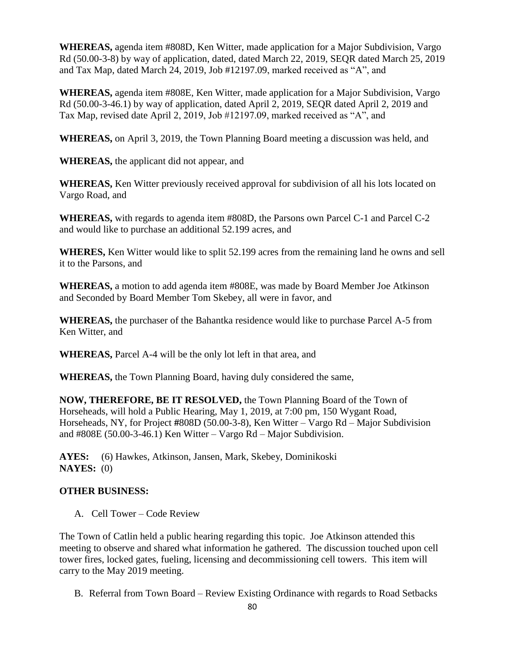**WHEREAS,** agenda item #808D, Ken Witter, made application for a Major Subdivision, Vargo Rd (50.00-3-8) by way of application, dated, dated March 22, 2019, SEQR dated March 25, 2019 and Tax Map, dated March 24, 2019, Job #12197.09, marked received as "A", and

**WHEREAS,** agenda item #808E, Ken Witter, made application for a Major Subdivision, Vargo Rd (50.00-3-46.1) by way of application, dated April 2, 2019, SEQR dated April 2, 2019 and Tax Map, revised date April 2, 2019, Job #12197.09, marked received as "A", and

**WHEREAS,** on April 3, 2019, the Town Planning Board meeting a discussion was held, and

**WHEREAS,** the applicant did not appear, and

**WHEREAS,** Ken Witter previously received approval for subdivision of all his lots located on Vargo Road, and

**WHEREAS,** with regards to agenda item #808D, the Parsons own Parcel C-1 and Parcel C-2 and would like to purchase an additional 52.199 acres, and

**WHERES,** Ken Witter would like to split 52.199 acres from the remaining land he owns and sell it to the Parsons, and

**WHEREAS,** a motion to add agenda item #808E, was made by Board Member Joe Atkinson and Seconded by Board Member Tom Skebey, all were in favor, and

**WHEREAS,** the purchaser of the Bahantka residence would like to purchase Parcel A-5 from Ken Witter, and

**WHEREAS,** Parcel A-4 will be the only lot left in that area, and

**WHEREAS,** the Town Planning Board, having duly considered the same,

**NOW, THEREFORE, BE IT RESOLVED,** the Town Planning Board of the Town of Horseheads, will hold a Public Hearing, May 1, 2019, at 7:00 pm, 150 Wygant Road, Horseheads, NY, for Project **#**808D (50.00-3-8), Ken Witter – Vargo Rd – Major Subdivision and #808E (50.00-3-46.1) Ken Witter – Vargo Rd – Major Subdivision.

**AYES:** (6) Hawkes, Atkinson, Jansen, Mark, Skebey, Dominikoski **NAYES:** (0)

# **OTHER BUSINESS:**

A. Cell Tower – Code Review

The Town of Catlin held a public hearing regarding this topic. Joe Atkinson attended this meeting to observe and shared what information he gathered. The discussion touched upon cell tower fires, locked gates, fueling, licensing and decommissioning cell towers. This item will carry to the May 2019 meeting.

B. Referral from Town Board – Review Existing Ordinance with regards to Road Setbacks